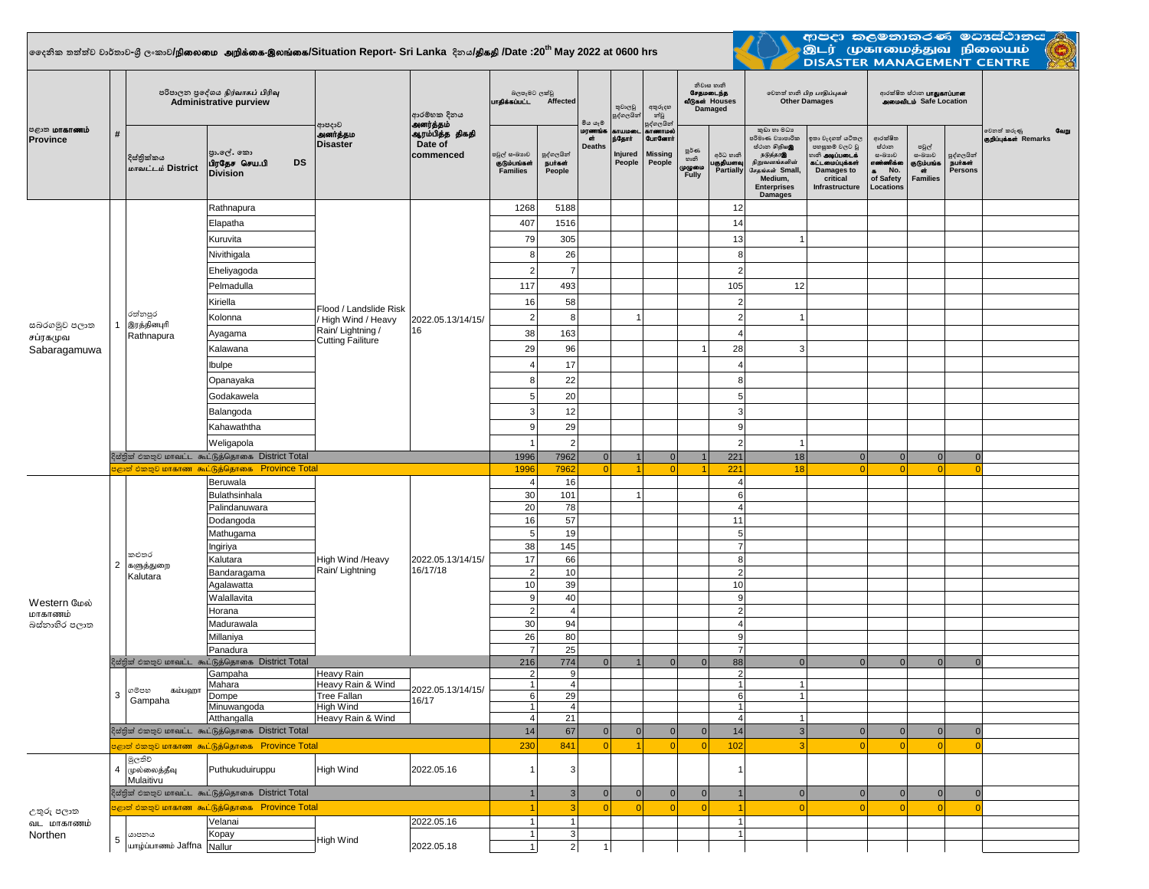## **දදනික තත්ත්ව වාර්තාව-ශ්රී ලංකාව/**epiyik mwpf;if-,yq;if**/Situation Report- Sri Lanka දිනය/**jpfjp **/Date :20th May 2022 at 0600 hrs**



ආපදා කලමනාකරණ මධාස්ථානය<br>මූ මූ (முகாமைத்துவ நிலையம் <mark>(ලූ)</mark><br>DISASTER MANAGEMENT CENTRE

| <b>ு</b> கோணம்<br>Province               | #              | පරිපාලන පුදේශය நிர்வாகப் பிரிவு<br><b>Administrative purview</b> |                                                              | ආපදාව                                         | ආරම්භක දිනය<br>அனர்த்தம்                | බලපෑමට ලක්වු<br>பாதிக்கப்பட்ட<br>Affected                                                       |                                 | මිය යෑම                     | තුවාලවු<br>පුද්ගලයින්                           | අතුරුදහ<br>න්වූ<br>පුද්ගලයින්                           |                                     | නිවාස හානි<br>சேதமடைந்த<br>வீடுகள் Houses<br>Damaged | லூவி லகி பிற பாதிப்புகள்<br><b>Other Damages</b>                                                                                                  |                                                                                                                         | ආරක්ෂිත ස්ථාන <b>பாதுகாப்பான</b><br><b>AMMONILIO</b> Safe Location                   |                                                        |                                        |                                              |
|------------------------------------------|----------------|------------------------------------------------------------------|--------------------------------------------------------------|-----------------------------------------------|-----------------------------------------|-------------------------------------------------------------------------------------------------|---------------------------------|-----------------------------|-------------------------------------------------|---------------------------------------------------------|-------------------------------------|------------------------------------------------------|---------------------------------------------------------------------------------------------------------------------------------------------------|-------------------------------------------------------------------------------------------------------------------------|--------------------------------------------------------------------------------------|--------------------------------------------------------|----------------------------------------|----------------------------------------------|
|                                          |                | දිස්තික්කය<br>மாவட்டம் District                                  | පා.ලේ. කො<br><b>DS</b><br>பிரதேச செய.பி<br><b>Division</b>   | அனர்த்தம<br><b>Disaster</b>                   | ஆரம்பித்த திகதி<br>Date of<br>commenced | පවුල් සංඛාගව<br>குடும்பங்கள்<br><b>Families</b>                                                 | පුද්ගලයින්<br>நபர்கள்<br>People | மரணா<br>ள்<br><b>Deaths</b> | <b>SITUILDOD</b><br>ந்தோர்<br>Injured<br>People | காணாமல்<br><b>GunGernit</b><br><b>Missing</b><br>People | ల్లరి లా<br>හානි<br>முழுமை<br>Fully | අර්ධ හානි<br>குதியளவு<br>Partially                   | කුඩා හා මධා<br>පරිමාණ වාාපාරික<br>හ්ථාන හිறியஇ<br>நடுத்தரஇ<br>நிறுவனங்களின்<br>சேதங்கள் Small,<br>Medium.<br><b>Enterprises</b><br><b>Damages</b> | ඉතා වැදගත් යටිතල<br>පහසුකම් වලට වූ<br><b>ை அடிப்படைக்</b><br>கட்டமைப்பக்கள்<br>Damages to<br>critical<br>Infrastructure | ආරක්ෂිත<br>ස්ථාන<br>සංඛාගව<br>எண்ணிக்க<br>No.<br>$\bullet$<br>of Safety<br>Locations | පවුල්<br>සංඛයාව<br>குடும்பங்க<br>ள்<br><b>Families</b> | පුද්ගලයින්<br>நபாகள்<br><b>Persons</b> | වෙනත් කරුණු<br>வேறு<br>குறிப்புக்கள் Remarks |
|                                          |                |                                                                  | Rathnapura                                                   | Flood / Landslide Risk                        |                                         | 1268                                                                                            | 5188                            |                             |                                                 |                                                         |                                     | 12                                                   |                                                                                                                                                   |                                                                                                                         |                                                                                      |                                                        |                                        |                                              |
|                                          |                |                                                                  | Elapatha                                                     |                                               |                                         | 407                                                                                             | 1516                            |                             |                                                 |                                                         |                                     | 14                                                   |                                                                                                                                                   |                                                                                                                         |                                                                                      |                                                        |                                        |                                              |
|                                          |                |                                                                  | Kuruvita                                                     |                                               |                                         | 79                                                                                              | 305                             |                             |                                                 |                                                         |                                     | 13                                                   |                                                                                                                                                   |                                                                                                                         |                                                                                      |                                                        |                                        |                                              |
|                                          |                |                                                                  | Nivithigala                                                  |                                               |                                         | 8                                                                                               | 26                              |                             |                                                 |                                                         |                                     | 8                                                    |                                                                                                                                                   |                                                                                                                         |                                                                                      |                                                        |                                        |                                              |
|                                          |                |                                                                  | Eheliyagoda                                                  |                                               |                                         | $\overline{2}$                                                                                  | $\overline{7}$                  |                             |                                                 |                                                         |                                     | $\overline{2}$                                       |                                                                                                                                                   |                                                                                                                         |                                                                                      |                                                        |                                        |                                              |
|                                          |                |                                                                  | Pelmadulla                                                   |                                               | 2022.05.13/14/15/<br>16                 | 117                                                                                             | 493                             |                             |                                                 |                                                         |                                     | 105                                                  | 12                                                                                                                                                |                                                                                                                         |                                                                                      |                                                        |                                        |                                              |
|                                          |                |                                                                  | Kiriella                                                     |                                               |                                         | 16                                                                                              | 58                              |                             |                                                 |                                                         |                                     | $\overline{2}$                                       |                                                                                                                                                   |                                                                                                                         |                                                                                      |                                                        |                                        |                                              |
|                                          | $\overline{1}$ | රත්නපුර                                                          | Kolonna                                                      | / High Wind / Heavy                           |                                         | $\overline{2}$                                                                                  | 8                               |                             | 1                                               |                                                         |                                     | $\overline{2}$                                       | -1                                                                                                                                                |                                                                                                                         |                                                                                      |                                                        |                                        |                                              |
| සබරගමුව පලාත<br>சப்ரகமுவ<br>Sabaragamuwa |                | இரத்தினபுரி<br>Rathnapura                                        | Ayagama                                                      | Rain/ Lightning /<br><b>Cutting Failiture</b> |                                         | 38                                                                                              | 163                             |                             |                                                 |                                                         |                                     | $\overline{A}$                                       |                                                                                                                                                   |                                                                                                                         |                                                                                      |                                                        |                                        |                                              |
|                                          |                |                                                                  | Kalawana                                                     |                                               |                                         | 29                                                                                              | 96                              |                             |                                                 |                                                         | $\overline{1}$                      | 28                                                   | $\overline{3}$                                                                                                                                    |                                                                                                                         |                                                                                      |                                                        |                                        |                                              |
|                                          |                |                                                                  | Ibulpe                                                       |                                               |                                         | 4                                                                                               | 17                              |                             |                                                 |                                                         |                                     | 4                                                    |                                                                                                                                                   |                                                                                                                         |                                                                                      |                                                        |                                        |                                              |
|                                          |                |                                                                  | Opanayaka                                                    |                                               |                                         | 8                                                                                               | 22                              |                             |                                                 |                                                         |                                     | 8                                                    |                                                                                                                                                   |                                                                                                                         |                                                                                      |                                                        |                                        |                                              |
|                                          |                |                                                                  | Godakawela                                                   |                                               |                                         | 5                                                                                               | 20                              |                             |                                                 |                                                         |                                     | 5                                                    |                                                                                                                                                   |                                                                                                                         |                                                                                      |                                                        |                                        |                                              |
|                                          |                |                                                                  | Balangoda                                                    |                                               |                                         | 3                                                                                               | 12                              |                             |                                                 |                                                         |                                     | 3                                                    |                                                                                                                                                   |                                                                                                                         |                                                                                      |                                                        |                                        |                                              |
|                                          |                |                                                                  | Kahawaththa                                                  |                                               |                                         | 9                                                                                               | 29                              |                             |                                                 |                                                         |                                     | 9                                                    |                                                                                                                                                   |                                                                                                                         |                                                                                      |                                                        |                                        |                                              |
|                                          |                |                                                                  | Weligapola                                                   |                                               |                                         |                                                                                                 |                                 |                             |                                                 |                                                         |                                     | $\overline{2}$                                       |                                                                                                                                                   |                                                                                                                         |                                                                                      |                                                        |                                        |                                              |
|                                          |                |                                                                  | දිස්තික් එකතුව மாவட்ட கூட்டுத்தொகை District Total            |                                               |                                         | 1996                                                                                            | 7962                            |                             |                                                 |                                                         |                                     | 221                                                  | 18                                                                                                                                                | 0                                                                                                                       | 0                                                                                    | $\overline{0}$                                         | $\Omega$                               |                                              |
|                                          |                |                                                                  | <mark>குறி එකතුව மாகாண கூட்டுத்தொகை Province Total</mark>    |                                               |                                         | 1996                                                                                            | 7962                            |                             | $\overline{4}$                                  |                                                         |                                     | 221                                                  | 18                                                                                                                                                |                                                                                                                         | $\Omega$                                                                             | $\Omega$                                               | r                                      |                                              |
|                                          |                | කළුතර<br>களுத்துறை<br>Kalutara                                   | Beruwala<br>Bulathsinhala                                    |                                               |                                         |                                                                                                 |                                 |                             |                                                 |                                                         |                                     | $\overline{4}$<br>6                                  |                                                                                                                                                   |                                                                                                                         |                                                                                      |                                                        |                                        |                                              |
|                                          |                |                                                                  | Palindanuwara                                                |                                               |                                         | 0 <br> 0 <br>-ol<br>$\Omega$<br>16<br>$\overline{4}$<br>30<br>101<br>1 <sup>1</sup><br>20<br>78 |                                 | $\overline{4}$              |                                                 |                                                         |                                     |                                                      |                                                                                                                                                   |                                                                                                                         |                                                                                      |                                                        |                                        |                                              |
|                                          |                |                                                                  | Dodangoda                                                    |                                               |                                         | 16                                                                                              | 57                              |                             |                                                 |                                                         |                                     | 11                                                   |                                                                                                                                                   |                                                                                                                         |                                                                                      |                                                        |                                        |                                              |
|                                          |                |                                                                  | Mathugama                                                    |                                               |                                         | 5                                                                                               | 19                              |                             |                                                 |                                                         |                                     | $\sqrt{5}$                                           |                                                                                                                                                   |                                                                                                                         |                                                                                      |                                                        |                                        |                                              |
|                                          |                |                                                                  | Ingiriya                                                     |                                               |                                         | 38                                                                                              | 145                             |                             |                                                 |                                                         |                                     | $\overline{7}$                                       |                                                                                                                                                   |                                                                                                                         |                                                                                      |                                                        |                                        |                                              |
|                                          | $\overline{2}$ |                                                                  | Kalutara                                                     | High Wind /Heavy                              | 2022.05.13/14/15/<br>16/17/18           | 17                                                                                              | 66                              |                             |                                                 |                                                         |                                     | 8<br>$\overline{2}$                                  |                                                                                                                                                   |                                                                                                                         |                                                                                      |                                                        |                                        |                                              |
| Western மேல்<br>மாகாணம்<br>බස්තාහිර පලාත |                |                                                                  | Bandaragama<br>Agalawatta                                    | Rain/ Lightning                               |                                         | 2 <sup>1</sup><br>10                                                                            | 10<br>39                        |                             |                                                 |                                                         |                                     | 10                                                   |                                                                                                                                                   |                                                                                                                         |                                                                                      |                                                        |                                        |                                              |
|                                          |                |                                                                  | Walallavita                                                  |                                               |                                         | 9                                                                                               | 40                              |                             |                                                 |                                                         |                                     | 9                                                    |                                                                                                                                                   |                                                                                                                         |                                                                                      |                                                        |                                        |                                              |
|                                          |                |                                                                  | Horana                                                       |                                               |                                         | $\overline{2}$                                                                                  | $\overline{4}$                  |                             |                                                 |                                                         |                                     | $\overline{2}$                                       |                                                                                                                                                   |                                                                                                                         |                                                                                      |                                                        |                                        |                                              |
|                                          |                |                                                                  | Madurawala                                                   |                                               |                                         | 30                                                                                              | 94                              |                             |                                                 |                                                         |                                     | $\overline{4}$                                       |                                                                                                                                                   |                                                                                                                         |                                                                                      |                                                        |                                        |                                              |
|                                          |                |                                                                  | Millaniya                                                    |                                               |                                         | 26                                                                                              |                                 |                             |                                                 |                                                         |                                     | 9                                                    |                                                                                                                                                   |                                                                                                                         |                                                                                      |                                                        |                                        |                                              |
|                                          |                |                                                                  |                                                              |                                               |                                         |                                                                                                 | 80                              |                             |                                                 |                                                         |                                     |                                                      |                                                                                                                                                   |                                                                                                                         |                                                                                      |                                                        |                                        |                                              |
|                                          |                |                                                                  | Panadura                                                     |                                               |                                         | $\overline{7}$                                                                                  | 25                              |                             |                                                 |                                                         |                                     | $\overline{7}$                                       |                                                                                                                                                   |                                                                                                                         |                                                                                      |                                                        | $\Omega$                               |                                              |
|                                          |                |                                                                  | දිස්තික් එකතුව மாவட்ட கூட்டுத்தொகை District Total<br>Gampaha | Heavy Rain                                    |                                         | 216<br>$\overline{2}$                                                                           | 774<br>$\mathbf{Q}$             | $\overline{0}$              |                                                 | $\Omega$                                                | $\mathbf{0}$                        | 88<br>$\overline{2}$                                 | $\Omega$                                                                                                                                          | $\Omega$                                                                                                                | 0                                                                                    | $\Omega$                                               |                                        |                                              |
|                                          |                |                                                                  | Mahara                                                       | Heavy Rain & Wind                             | 2022.05.13/14/15/                       | $\mathbf{1}$                                                                                    | $\overline{4}$                  |                             |                                                 |                                                         |                                     | $\overline{1}$                                       | $\mathbf{1}$                                                                                                                                      |                                                                                                                         |                                                                                      |                                                        |                                        |                                              |
|                                          | 3              | ගම්පහ<br>கம்பஹா<br>Gampaha                                       | Dompe                                                        | <b>Tree Fallan</b>                            | 16/17                                   | 6 <sup>1</sup>                                                                                  | 29                              |                             |                                                 |                                                         |                                     | 6                                                    | $\mathbf{1}$                                                                                                                                      |                                                                                                                         |                                                                                      |                                                        |                                        |                                              |
|                                          |                |                                                                  | Minuwangoda<br>Atthangalla                                   | High Wind<br>Heavy Rain & Wind                |                                         | 11<br>4 <sup>1</sup>                                                                            | $\overline{4}$<br>21            |                             |                                                 |                                                         |                                     | $\overline{1}$<br>$\overline{\mathbf{A}}$            | $\mathbf{1}$                                                                                                                                      |                                                                                                                         |                                                                                      |                                                        |                                        |                                              |
|                                          |                |                                                                  | ஜேதினி சிறை மாவட்ட கூட்டுத்தொகை District Total               |                                               |                                         | 14                                                                                              | 67                              | 0                           | 0                                               | 0                                                       | 0                                   | 14                                                   | 3                                                                                                                                                 | 0                                                                                                                       | 0                                                                                    | 0                                                      | $\overline{0}$                         |                                              |
|                                          |                |                                                                  | <mark>் அனி சிறை மாகாண கூட்டுத்தொகை Province Total</mark>    |                                               |                                         | 230                                                                                             | 841                             | ol                          | $\vert$ 1                                       | 0                                                       | 0                                   | 102                                                  | $\vert$ 3 $\vert$                                                                                                                                 | $\Omega$                                                                                                                | $\Omega$                                                                             | $\Omega$                                               |                                        |                                              |
|                                          |                | මුලතිව<br>4 முல்லைத்தீவு<br>Mulaitivu                            | Puthukuduiruppu                                              | High Wind                                     | 2022.05.16                              |                                                                                                 | 3                               |                             |                                                 |                                                         |                                     |                                                      |                                                                                                                                                   |                                                                                                                         |                                                                                      |                                                        |                                        |                                              |
|                                          |                |                                                                  | දිස්තික් එකතුව மாவட்ட கூட்டுத்தொகை District Total            |                                               |                                         |                                                                                                 | 3                               | 0                           | 0                                               | 0                                                       | 0                                   | $\overline{1}$                                       | 0                                                                                                                                                 | 0                                                                                                                       | 0                                                                                    | 0                                                      | $\overline{0}$                         |                                              |
|                                          |                |                                                                  | <mark>පළාත් එකතුව மாகாண கூட்டுத்தொகை Province Total</mark>   |                                               |                                         |                                                                                                 |                                 | $\overline{0}$              | 0                                               | 0                                                       | 0                                   |                                                      | 0                                                                                                                                                 | $\Omega$                                                                                                                | $\overline{0}$                                                                       | $\Omega$                                               |                                        |                                              |
| උතුරු පලාත<br>வட மாகாணம்<br>Northen      |                | යාපනය                                                            | Velanai<br>Kopay                                             |                                               | 2022.05.16                              | $\mathbf{1}$<br>$\mathbf{1}$                                                                    | $\overline{1}$<br>3             |                             |                                                 |                                                         |                                     | $\overline{1}$<br>$\overline{1}$                     |                                                                                                                                                   |                                                                                                                         |                                                                                      |                                                        |                                        |                                              |